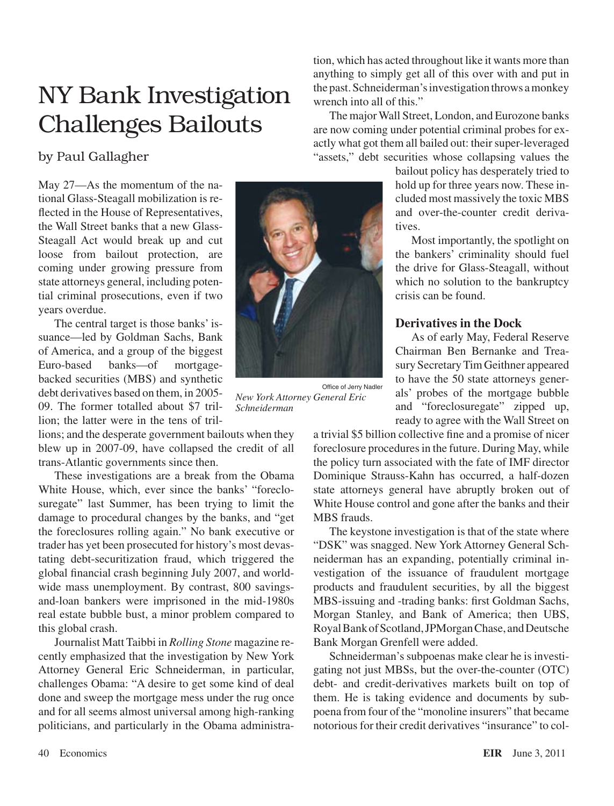# NY Bank Investigation Challenges Bailouts

# by Paul Gallagher

May 27—As the momentum of the national Glass-Steagall mobilization is reflected in the House of Representatives, the Wall Street banks that a new Glass-Steagall Act would break up and cut loose from bailout protection, are coming under growing pressure from state attorneys general, including potential criminal prosecutions, even if two years overdue.

The central target is those banks' issuance—led by Goldman Sachs, Bank of America, and a group of the biggest Euro-based banks—of mortgagebacked securities (MBS) and synthetic debt derivatives based on them, in 2005- 09. The former totalled about \$7 trillion; the latter were in the tens of tril-

lions; and the desperate government bailouts when they blew up in 2007-09, have collapsed the credit of all trans-Atlantic governments since then.

These investigations are a break from the Obama White House, which, ever since the banks' "foreclosuregate" last Summer, has been trying to limit the damage to procedural changes by the banks, and "get the foreclosures rolling again." No bank executive or trader has yet been prosecuted for history's most devastating debt-securitization fraud, which triggered the global financial crash beginning July 2007, and worldwide mass unemployment. By contrast, 800 savingsand-loan bankers were imprisoned in the mid-1980s real estate bubble bust, a minor problem compared to this global crash.

Journalist Matt Taibbi in *Rolling Stone* magazine recently emphasized that the investigation by New York Attorney General Eric Schneiderman, in particular, challenges Obama: "A desire to get some kind of deal done and sweep the mortgage mess under the rug once and for all seems almost universal among high-ranking politicians, and particularly in the Obama administra-



Office of Jerry Nadler *New York Attorney General Eric Schneiderman*

tion, which has acted throughout like it wants more than anything to simply get all of this over with and put in the past.Schneiderman'sinvestigation throws amonkey wrench into all of this."

The major Wall Street, London, and Eurozone banks are now coming under potential criminal probes for exactly what got them all bailed out: their super-leveraged "assets," debt securities whose collapsing values the

> bailout policy has desperately tried to hold up for three years now. These included most massively the toxic MBS and over-the-counter credit derivatives.

Most importantly, the spotlight on the bankers' criminality should fuel the drive for Glass-Steagall, without which no solution to the bankruptcy crisis can be found.

## **Derivatives in the Dock**

As of early May, Federal Reserve Chairman Ben Bernanke and Treasury SecretaryTimGeithner appeared to have the 50 state attorneys generals' probes of the mortgage bubble and "foreclosuregate" zipped up, ready to agree with the Wall Street on

a trivial \$5 billion collective fine and a promise of nicer foreclosure procedures in the future. During May, while the policy turn associated with the fate of IMF director Dominique Strauss-Kahn has occurred, a half-dozen state attorneys general have abruptly broken out of White House control and gone after the banks and their MBS frauds.

The keystone investigation is that of the state where "DSK" was snagged. New York Attorney General Schneiderman has an expanding, potentially criminal investigation of the issuance of fraudulent mortgage products and fraudulent securities, by all the biggest MBS-issuing and -trading banks: first Goldman Sachs, Morgan Stanley, and Bank of America; then UBS, RoyalBankofScotland,JPMorganChase, andDeutsche Bank Morgan Grenfell were added.

Schneiderman's subpoenas make clear he is investigating not just MBSs, but the over-the-counter (OTC) debt- and credit-derivatives markets built on top of them. He is taking evidence and documents by subpoena from four of the "monoline insurers" that became notorious for their credit derivatives "insurance" to col